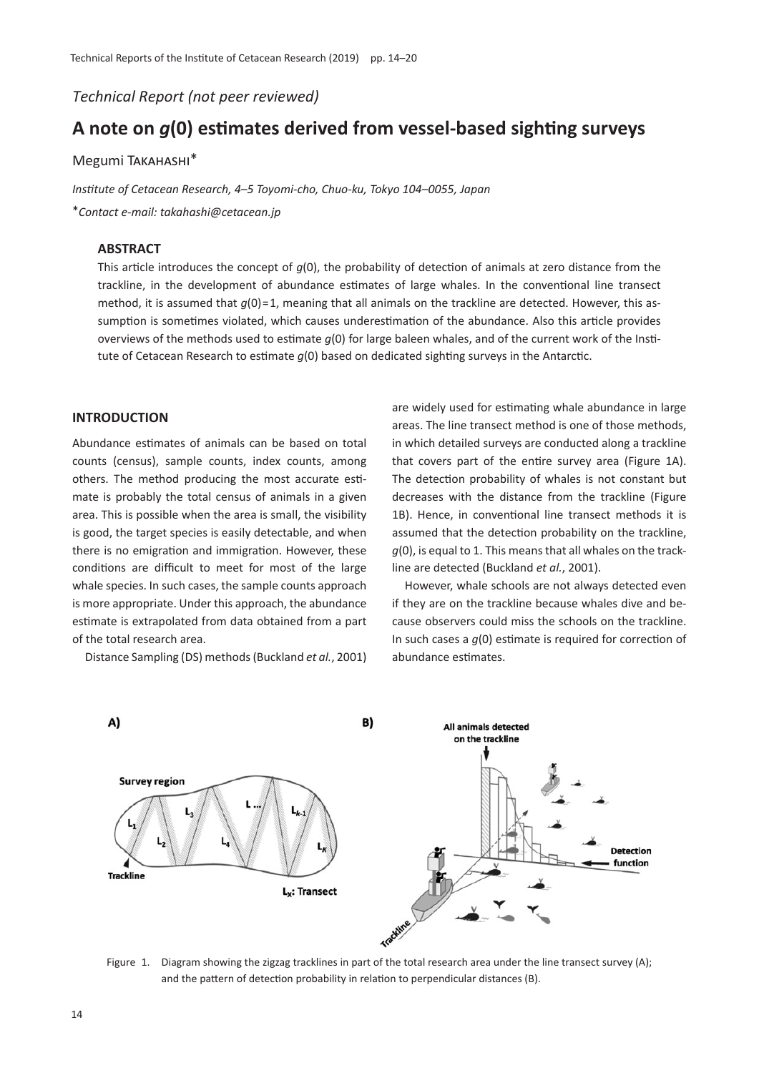*Technical Report (not peer reviewed)*

# **A note on** *g***(0) estimates derived from vessel-based sighting surveys**

# Megumi Takahashi\*

*Institute of Cetacean Research, 4*–*5 Toyomi-cho, Chuo-ku, Tokyo 104*–*0055, Japan*

\**Contact e-mail: takahashi@cetacean.jp*

# **ABSTRACT**

This article introduces the concept of *g*(0), the probability of detection of animals at zero distance from the trackline, in the development of abundance estimates of large whales. In the conventional line transect method, it is assumed that  $q(0)=1$ , meaning that all animals on the trackline are detected. However, this assumption is sometimes violated, which causes underestimation of the abundance. Also this article provides overviews of the methods used to estimate *g*(0) for large baleen whales, and of the current work of the Institute of Cetacean Research to estimate *g*(0) based on dedicated sighting surveys in the Antarctic.

## **INTRODUCTION**

Abundance estimates of animals can be based on total counts (census), sample counts, index counts, among others. The method producing the most accurate estimate is probably the total census of animals in a given area. This is possible when the area is small, the visibility is good, the target species is easily detectable, and when there is no emigration and immigration. However, these conditions are difficult to meet for most of the large whale species. In such cases, the sample counts approach is more appropriate. Under this approach, the abundance estimate is extrapolated from data obtained from a part of the total research area.

Distance Sampling (DS) methods (Buckland *et al.*, 2001)

are widely used for estimating whale abundance in large areas. The line transect method is one of those methods, in which detailed surveys are conducted along a trackline that covers part of the entire survey area (Figure 1A). The detection probability of whales is not constant but decreases with the distance from the trackline (Figure 1B). Hence, in conventional line transect methods it is assumed that the detection probability on the trackline, *g*(0), is equal to 1. This means that all whales on the trackline are detected (Buckland *et al.*, 2001).

However, whale schools are not always detected even if they are on the trackline because whales dive and because observers could miss the schools on the trackline. In such cases a *g*(0) estimate is required for correction of abundance estimates.



Figure 1. Diagram showing the zigzag tracklines in part of the total research area under the line transect survey (A); and the pattern of detection probability in relation to perpendicular distances (B).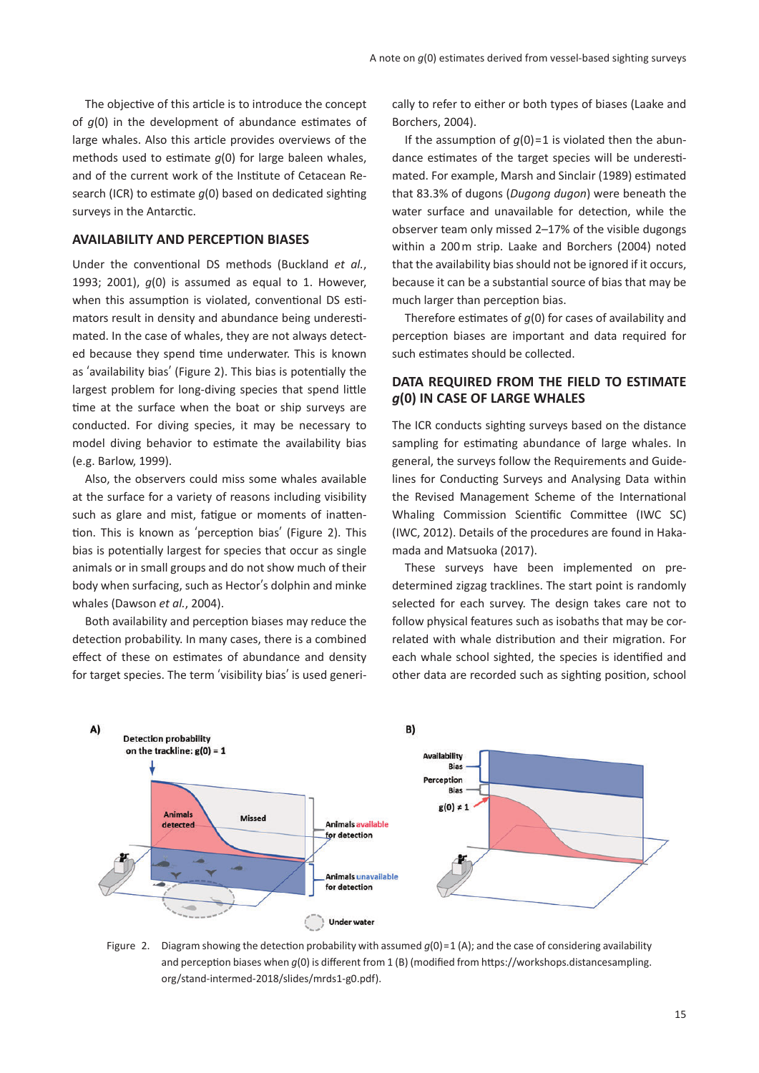The objective of this article is to introduce the concept of *g*(0) in the development of abundance estimates of large whales. Also this article provides overviews of the methods used to estimate *g*(0) for large baleen whales, and of the current work of the Institute of Cetacean Research (ICR) to estimate *g*(0) based on dedicated sighting surveys in the Antarctic.

## **AVAILABILITY AND PERCEPTION BIASES**

Under the conventional DS methods (Buckland *et al.*, 1993; 2001), *g*(0) is assumed as equal to 1. However, when this assumption is violated, conventional DS estimators result in density and abundance being underestimated. In the case of whales, they are not always detected because they spend time underwater. This is known as ʻavailability bias' (Figure 2). This bias is potentially the largest problem for long-diving species that spend little time at the surface when the boat or ship surveys are conducted. For diving species, it may be necessary to model diving behavior to estimate the availability bias (e.g. Barlow, 1999).

Also, the observers could miss some whales available at the surface for a variety of reasons including visibility such as glare and mist, fatigue or moments of inattention. This is known as ʻperception bias' (Figure 2). This bias is potentially largest for species that occur as single animals or in small groups and do not show much of their body when surfacing, such as Hector's dolphin and minke whales (Dawson *et al.*, 2004).

Both availability and perception biases may reduce the detection probability. In many cases, there is a combined effect of these on estimates of abundance and density for target species. The term ʻvisibility bias' is used generically to refer to either or both types of biases (Laake and Borchers, 2004).

If the assumption of  $q(0)=1$  is violated then the abundance estimates of the target species will be underestimated. For example, Marsh and Sinclair (1989) estimated that 83.3% of dugons (*Dugong dugon*) were beneath the water surface and unavailable for detection, while the observer team only missed 2–17% of the visible dugongs within a 200 m strip. Laake and Borchers (2004) noted that the availability bias should not be ignored if it occurs, because it can be a substantial source of bias that may be much larger than perception bias.

Therefore estimates of *g*(0) for cases of availability and perception biases are important and data required for such estimates should be collected.

# **DATA REQUIRED FROM THE FIELD TO ESTIMATE**  *g***(0) IN CASE OF LARGE WHALES**

The ICR conducts sighting surveys based on the distance sampling for estimating abundance of large whales. In general, the surveys follow the Requirements and Guidelines for Conducting Surveys and Analysing Data within the Revised Management Scheme of the International Whaling Commission Scientific Committee (IWC SC) (IWC, 2012). Details of the procedures are found in Hakamada and Matsuoka (2017).

These surveys have been implemented on predetermined zigzag tracklines. The start point is randomly selected for each survey. The design takes care not to follow physical features such as isobaths that may be correlated with whale distribution and their migration. For each whale school sighted, the species is identified and other data are recorded such as sighting position, school



Figure 2. Diagram showing the detection probability with assumed  $q(0)$  = 1 (A); and the case of considering availability and perception biases when *g*(0) is different from 1 (B) (modified from https://workshops.distancesampling. org/stand-intermed-2018/slides/mrds1-g0.pdf).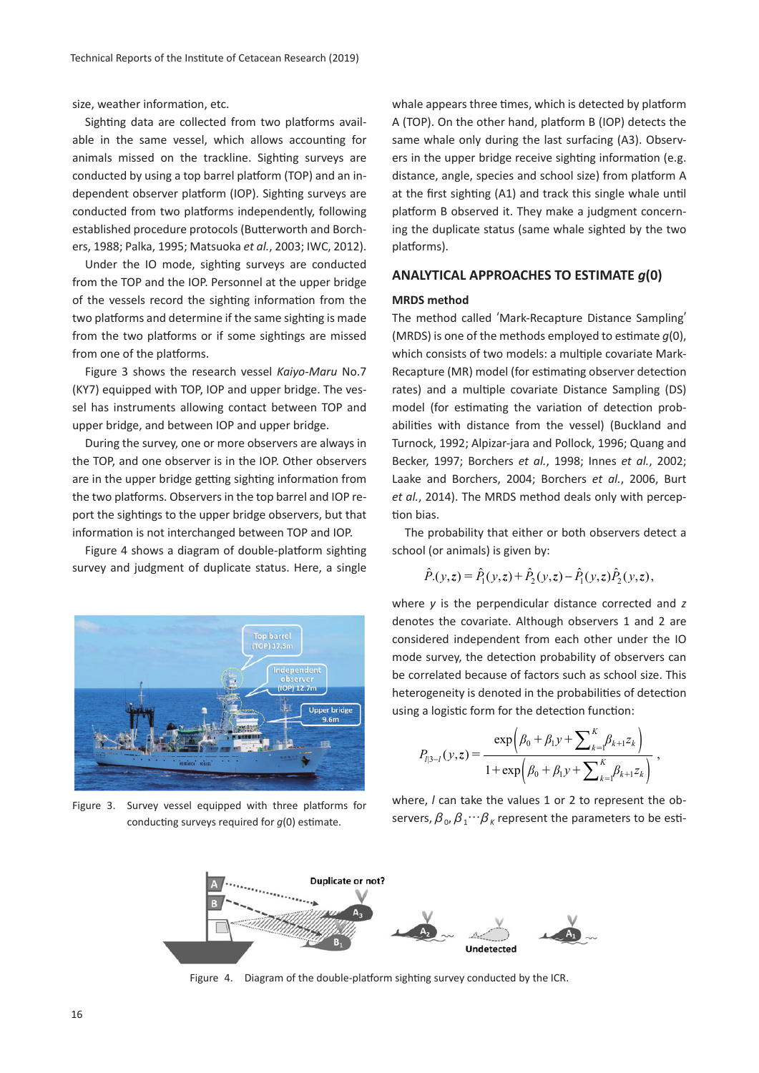size, weather information, etc.

Sighting data are collected from two platforms available in the same vessel, which allows accounting for animals missed on the trackline. Sighting surveys are conducted by using a top barrel platform (TOP) and an independent observer platform (IOP). Sighting surveys are conducted from two platforms independently, following established procedure protocols (Butterworth and Borchers, 1988; Palka, 1995; Matsuoka *et al.*, 2003; IWC, 2012).

Under the IO mode, sighting surveys are conducted from the TOP and the IOP. Personnel at the upper bridge of the vessels record the sighting information from the two platforms and determine if the same sighting is made from the two platforms or if some sightings are missed from one of the platforms.

Figure 3 shows the research vessel *Kaiyo-Maru* No.7 (KY7) equipped with TOP, IOP and upper bridge. The vessel has instruments allowing contact between TOP and upper bridge, and between IOP and upper bridge.

During the survey, one or more observers are always in the TOP, and one observer is in the IOP. Other observers are in the upper bridge getting sighting information from the two platforms. Observers in the top barrel and IOP report the sightings to the upper bridge observers, but that information is not interchanged between TOP and IOP.

Figure 4 shows a diagram of double-platform sighting survey and judgment of duplicate status. Here, a single



Figure 3. Survey vessel equipped with three platforms for conducting surveys required for *g*(0) estimate.

whale appears three times, which is detected by platform A (TOP). On the other hand, platform B (IOP) detects the same whale only during the last surfacing (A3). Observers in the upper bridge receive sighting information (e.g. distance, angle, species and school size) from platform A at the first sighting (A1) and track this single whale until platform B observed it. They make a judgment concerning the duplicate status (same whale sighted by the two platforms).

## **ANALYTICAL APPROACHES TO ESTIMATE** *g***(0)**

#### **MRDS method**

The method called ʻMark-Recapture Distance Sampling' (MRDS) is one of the methods employed to estimate *g*(0), which consists of two models: a multiple covariate Mark-Recapture (MR) model (for estimating observer detection rates) and a multiple covariate Distance Sampling (DS) model (for estimating the variation of detection probabilities with distance from the vessel) (Buckland and Turnock, 1992; Alpizar-jara and Pollock, 1996; Quang and Becker, 1997; Borchers *et al.*, 1998; Innes *et al.*, 2002; Laake and Borchers, 2004; Borchers *et al.*, 2006, Burt *et al.*, 2014). The MRDS method deals only with perception bias.

The probability that either or both observers detect a school (or animals) is given by:

$$
\hat{P}_{\cdot}(y,z) = \hat{P}_{1}(y,z) + \hat{P}_{2}(y,z) - \hat{P}_{1}(y,z)\hat{P}_{2}(y,z),
$$

where *y* is the perpendicular distance corrected and *z* denotes the covariate. Although observers 1 and 2 are considered independent from each other under the IO mode survey, the detection probability of observers can be correlated because of factors such as school size. This heterogeneity is denoted in the probabilities of detection using a logistic form for the detection function:

$$
P_{l|3-l}(y,z) = \frac{\exp\left(\beta_0 + \beta_1 y + \sum_{k=1}^K \beta_{k+1} z_k\right)}{1 + \exp\left(\beta_0 + \beta_1 y + \sum_{k=1}^K \beta_{k+1} z_k\right)},
$$

where, *l* can take the values 1 or 2 to represent the observers,  $\beta_0$ ,  $\beta_1 \cdots \beta_k$  represent the parameters to be esti-



Figure 4. Diagram of the double-platform sighting survey conducted by the ICR.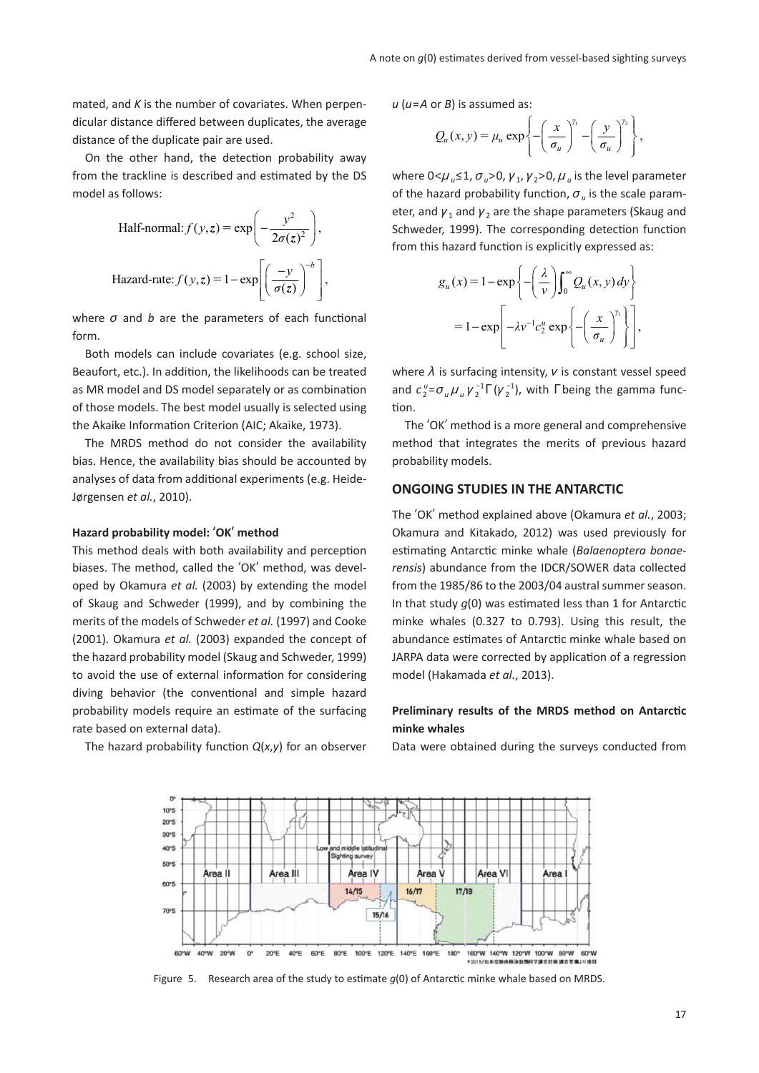mated, and *K* is the number of covariates. When perpendicular distance differed between duplicates, the average distance of the duplicate pair are used.

On the other hand, the detection probability away from the trackline is described and estimated by the DS model as follows:

Half-normal: 
$$
f(y, z) = \exp\left(-\frac{y^2}{2\sigma(z)^2}\right)
$$
,  
Hazard-rate:  $f(y, z) = 1 - \exp\left[\left(\frac{-y}{\sigma(z)}\right)^{-b}\right]$ ,

where *σ* and *b* are the parameters of each functional form.

Both models can include covariates (e.g. school size, Beaufort, etc.). In addition, the likelihoods can be treated as MR model and DS model separately or as combination of those models. The best model usually is selected using the Akaike Information Criterion (AIC; Akaike, 1973).

The MRDS method do not consider the availability bias. Hence, the availability bias should be accounted by analyses of data from additional experiments (e.g. Heide-Jørgensen *et al.*, 2010).

#### **Hazard probability model:** ʻ**OK**' **method**

This method deals with both availability and perception biases. The method, called the ʻOK' method, was developed by Okamura *et al.* (2003) by extending the model of Skaug and Schweder (1999), and by combining the merits of the models of Schweder *et al.* (1997) and Cooke (2001). Okamura *et al.* (2003) expanded the concept of the hazard probability model (Skaug and Schweder, 1999) to avoid the use of external information for considering diving behavior (the conventional and simple hazard probability models require an estimate of the surfacing rate based on external data).

The hazard probability function *Q*(*x*,*y*) for an observer

*u* (*u*=*A* or *B*) is assumed as:

$$
Q_u(x,y) = \mu_u \exp \left\{-\left(\frac{x}{\sigma_u}\right)^{\gamma_1} - \left(\frac{y}{\sigma_u}\right)^{\gamma_2}\right\},\,
$$

where  $0 < \mu_u \leq 1$ ,  $\sigma_u > 0$ ,  $\gamma_u$ ,  $\gamma_v > 0$ ,  $\mu_u$  is the level parameter of the hazard probability function,  $\sigma_u$  is the scale parameter, and  $\gamma_1$  and  $\gamma_2$  are the shape parameters (Skaug and Schweder, 1999). The corresponding detection function from this hazard function is explicitly expressed as:

$$
g_u(x) = 1 - \exp\left\{-\left(\frac{\lambda}{\nu}\right) \int_0^\infty Q_u(x, y) dy\right\}
$$

$$
= 1 - \exp\left[-\lambda \nu^{-1} c_2^u \exp\left\{-\left(\frac{x}{\sigma_u}\right)^{\gamma_1}\right\}\right],
$$

where *λ* is surfacing intensity, *ν* is constant vessel speed and  $c_2^{\mu} = \sigma_u \mu_u \gamma_2^{-1} \Gamma(\gamma_2^{-1})$ , with  $\Gamma$  being the gamma function.

The ʻOK' method is a more general and comprehensive method that integrates the merits of previous hazard probability models.

## **ONGOING STUDIES IN THE ANTARCTIC**

The ʻOK' method explained above (Okamura *et al.*, 2003; Okamura and Kitakado, 2012) was used previously for estimating Antarctic minke whale (*Balaenoptera bonaerensis*) abundance from the IDCR/SOWER data collected from the 1985/86 to the 2003/04 austral summer season. In that study *g*(0) was estimated less than 1 for Antarctic minke whales (0.327 to 0.793). Using this result, the abundance estimates of Antarctic minke whale based on JARPA data were corrected by application of a regression model (Hakamada *et al.*, 2013).

# **Preliminary results of the MRDS method on Antarctic minke whales**

Data were obtained during the surveys conducted from



Figure 5. Research area of the study to estimate *g*(0) of Antarctic minke whale based on MRDS.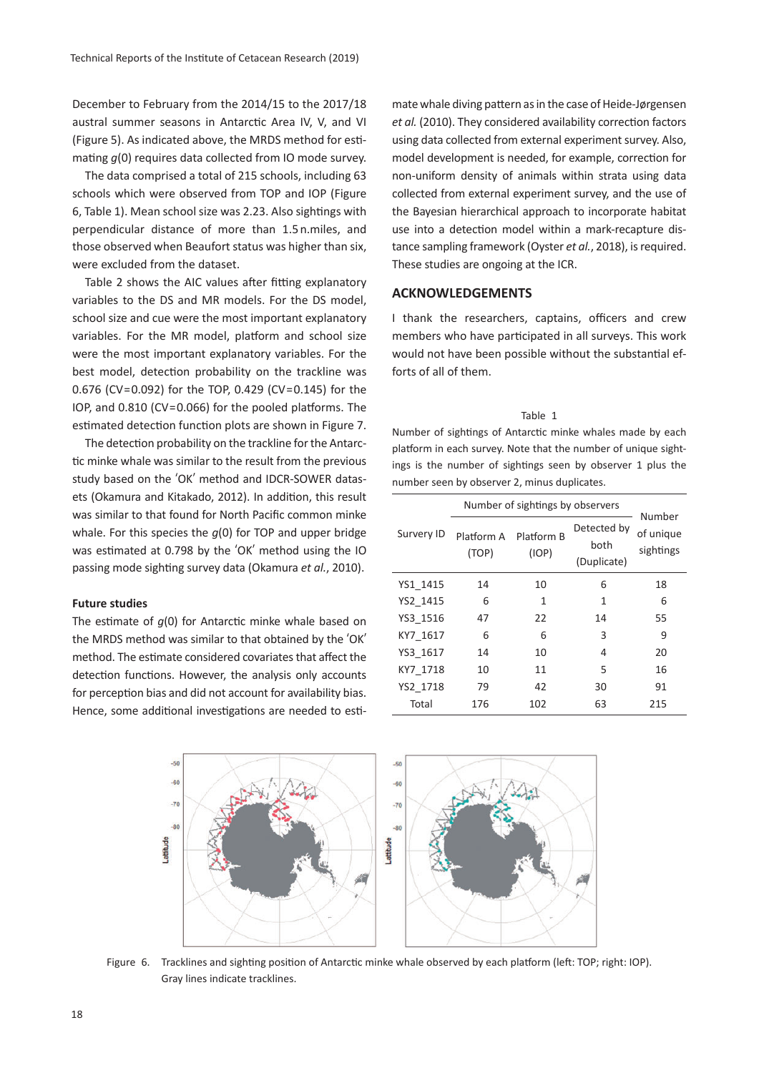December to February from the 2014/15 to the 2017/18 austral summer seasons in Antarctic Area IV, V, and VI (Figure 5). As indicated above, the MRDS method for estimating *g*(0) requires data collected from IO mode survey.

The data comprised a total of 215 schools, including 63 schools which were observed from TOP and IOP (Figure 6, Table 1). Mean school size was 2.23. Also sightings with perpendicular distance of more than 1.5 n.miles, and those observed when Beaufort status was higher than six, were excluded from the dataset.

Table 2 shows the AIC values after fitting explanatory variables to the DS and MR models. For the DS model, school size and cue were the most important explanatory variables. For the MR model, platform and school size were the most important explanatory variables. For the best model, detection probability on the trackline was 0.676 (CV=0.092) for the TOP, 0.429 (CV=0.145) for the IOP, and 0.810 (CV=0.066) for the pooled platforms. The estimated detection function plots are shown in Figure 7.

The detection probability on the trackline for the Antarctic minke whale was similar to the result from the previous study based on the ʻOK' method and IDCR-SOWER datasets (Okamura and Kitakado, 2012). In addition, this result was similar to that found for North Pacific common minke whale. For this species the *g*(0) for TOP and upper bridge was estimated at 0.798 by the ʻOK' method using the IO passing mode sighting survey data (Okamura *et al.*, 2010).

#### **Future studies**

The estimate of *g*(0) for Antarctic minke whale based on the MRDS method was similar to that obtained by the ʻOK' method. The estimate considered covariates that affect the detection functions. However, the analysis only accounts for perception bias and did not account for availability bias. Hence, some additional investigations are needed to estimate whale diving pattern as in the case of Heide-Jørgensen *et al.* (2010). They considered availability correction factors using data collected from external experiment survey. Also, model development is needed, for example, correction for non-uniform density of animals within strata using data collected from external experiment survey, and the use of the Bayesian hierarchical approach to incorporate habitat use into a detection model within a mark-recapture distance sampling framework (Oyster *et al.*, 2018), is required. These studies are ongoing at the ICR.

### **ACKNOWLEDGEMENTS**

I thank the researchers, captains, officers and crew members who have participated in all surveys. This work would not have been possible without the substantial efforts of all of them.

| Table 1                                                        |
|----------------------------------------------------------------|
| Number of sightings of Antarctic minke whales made by each     |
| platform in each survey. Note that the number of unique sight- |
| ings is the number of sightings seen by observer 1 plus the    |
| number seen by observer 2, minus duplicates.                   |

|            | Number of sightings by observers |                     |                                    |                                  |  |
|------------|----------------------------------|---------------------|------------------------------------|----------------------------------|--|
| Survery ID | Platform A<br>(TOP)              | Platform B<br>(IOP) | Detected by<br>both<br>(Duplicate) | Number<br>of unique<br>sightings |  |
| YS1 1415   | 14                               | 10                  | 6                                  | 18                               |  |
| YS2 1415   | 6                                | 1                   | 1                                  | 6                                |  |
| YS3 1516   | 47                               | 22                  | 14                                 | 55                               |  |
| KY7 1617   | 6                                | 6                   | 3                                  | 9                                |  |
| YS3 1617   | 14                               | 10                  | 4                                  | 20                               |  |
| KY7 1718   | 10                               | 11                  | 5                                  | 16                               |  |
| YS2 1718   | 79                               | 42                  | 30                                 | 91                               |  |
| Total      | 176                              | 102                 | 63                                 | 215                              |  |



Figure 6. Tracklines and sighting position of Antarctic minke whale observed by each platform (left: TOP; right: IOP). Gray lines indicate tracklines.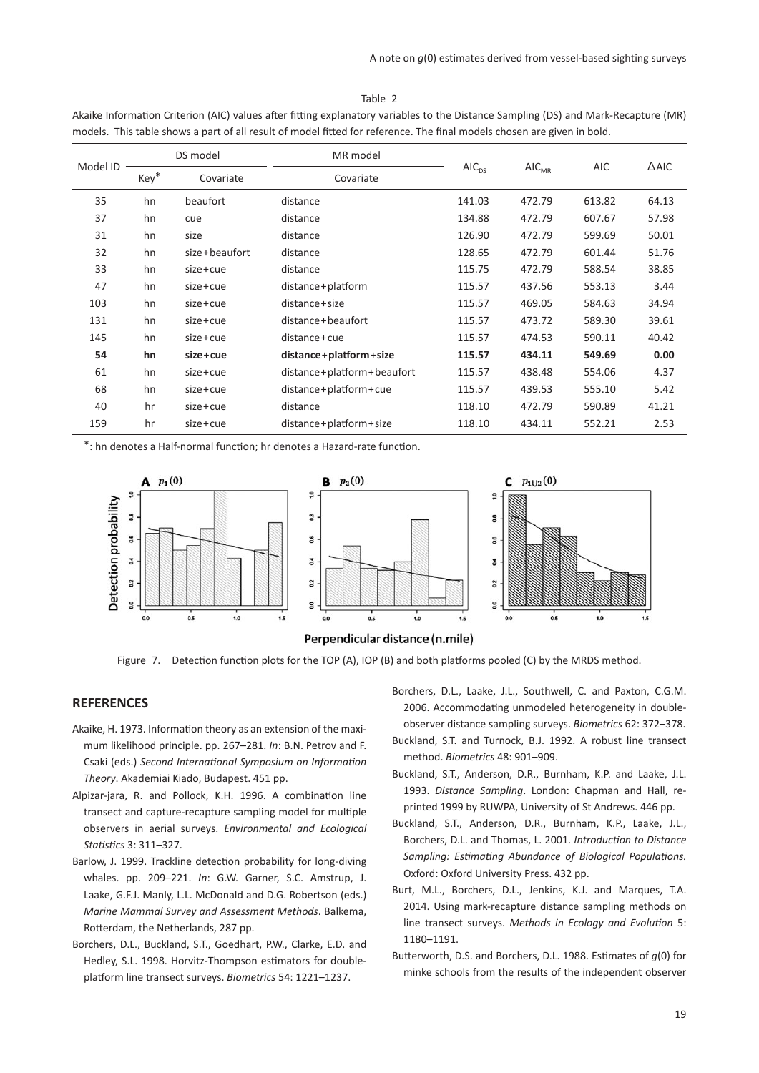#### Table 2

| Model ID | DS model |               | MR model                     |            |                            |        |                 |
|----------|----------|---------------|------------------------------|------------|----------------------------|--------|-----------------|
|          | Key*     | Covariate     | Covariate                    | $AIC_{DS}$ | $\mathsf{AIC}_\mathsf{MR}$ | AIC    | $\triangle$ AIC |
| 35       | hn       | beaufort      | distance                     | 141.03     | 472.79                     | 613.82 | 64.13           |
| 37       | hn       | cue           | distance                     | 134.88     | 472.79                     | 607.67 | 57.98           |
| 31       | hn       | size          | distance                     | 126.90     | 472.79                     | 599.69 | 50.01           |
| 32       | hn       | size+beaufort | distance                     | 128.65     | 472.79                     | 601.44 | 51.76           |
| 33       | hn       | $size+cue$    | distance                     | 115.75     | 472.79                     | 588.54 | 38.85           |
| 47       | hn       | size+cue      | distance+platform            | 115.57     | 437.56                     | 553.13 | 3.44            |
| 103      | hn       | size+cue      | distance+size                | 115.57     | 469.05                     | 584.63 | 34.94           |
| 131      | hn       | $size+cue$    | distance+beaufort            | 115.57     | 473.72                     | 589.30 | 39.61           |
| 145      | hn       | size+cue      | distance+cue                 | 115.57     | 474.53                     | 590.11 | 40.42           |
| 54       | hn       | $size + cue$  | $distance + platform + size$ | 115.57     | 434.11                     | 549.69 | 0.00            |
| 61       | hn       | size+cue      | distance+platform+beaufort   | 115.57     | 438.48                     | 554.06 | 4.37            |
| 68       | hn       | $size+cue$    | distance+platform+cue        | 115.57     | 439.53                     | 555.10 | 5.42            |
| 40       | hr       | size+cue      | distance                     | 118.10     | 472.79                     | 590.89 | 41.21           |
| 159      | hr       | size+cue      | distance + platform + size   | 118.10     | 434.11                     | 552.21 | 2.53            |

Akaike Information Criterion (AIC) values after fitting explanatory variables to the Distance Sampling (DS) and Mark-Recapture (MR) models. This table shows a part of all result of model fitted for reference. The final models chosen are given in bold.

\*: hn denotes a Half-normal function; hr denotes a Hazard-rate function.





Figure 7. Detection function plots for the TOP (A), IOP (B) and both platforms pooled (C) by the MRDS method.

# **REFERENCES**

- Akaike, H. 1973. Information theory as an extension of the maximum likelihood principle. pp. 267–281. *In*: B.N. Petrov and F. Csaki (eds.) *Second International Symposium on Information Theory*. Akademiai Kiado, Budapest. 451 pp.
- Alpizar-jara, R. and Pollock, K.H. 1996. A combination line transect and capture-recapture sampling model for multiple observers in aerial surveys. *Environmental and Ecological Statistics* 3: 311–327.
- Barlow, J. 1999. Trackline detection probability for long-diving whales. pp. 209–221. *In*: G.W. Garner, S.C. Amstrup, J. Laake, G.F.J. Manly, L.L. McDonald and D.G. Robertson (eds.) *Marine Mammal Survey and Assessment Methods*. Balkema, Rotterdam, the Netherlands, 287 pp.
- Borchers, D.L., Buckland, S.T., Goedhart, P.W., Clarke, E.D. and Hedley, S.L. 1998. Horvitz-Thompson estimators for doubleplatform line transect surveys. *Biometrics* 54: 1221–1237.
- Borchers, D.L., Laake, J.L., Southwell, C. and Paxton, C.G.M. 2006. Accommodating unmodeled heterogeneity in doubleobserver distance sampling surveys. *Biometrics* 62: 372–378.
- Buckland, S.T. and Turnock, B.J. 1992. A robust line transect method. *Biometrics* 48: 901–909.
- Buckland, S.T., Anderson, D.R., Burnham, K.P. and Laake, J.L. 1993. *Distance Sampling*. London: Chapman and Hall, reprinted 1999 by RUWPA, University of St Andrews. 446 pp.
- Buckland, S.T., Anderson, D.R., Burnham, K.P., Laake, J.L., Borchers, D.L. and Thomas, L. 2001. *Introduction to Distance Sampling: Estimating Abundance of Biological Populations.* Oxford: Oxford University Press. 432 pp.
- Burt, M.L., Borchers, D.L., Jenkins, K.J. and Marques, T.A. 2014. Using mark-recapture distance sampling methods on line transect surveys. *Methods in Ecology and Evolution* 5: 1180–1191.
- Butterworth, D.S. and Borchers, D.L. 1988. Estimates of *g*(0) for minke schools from the results of the independent observer